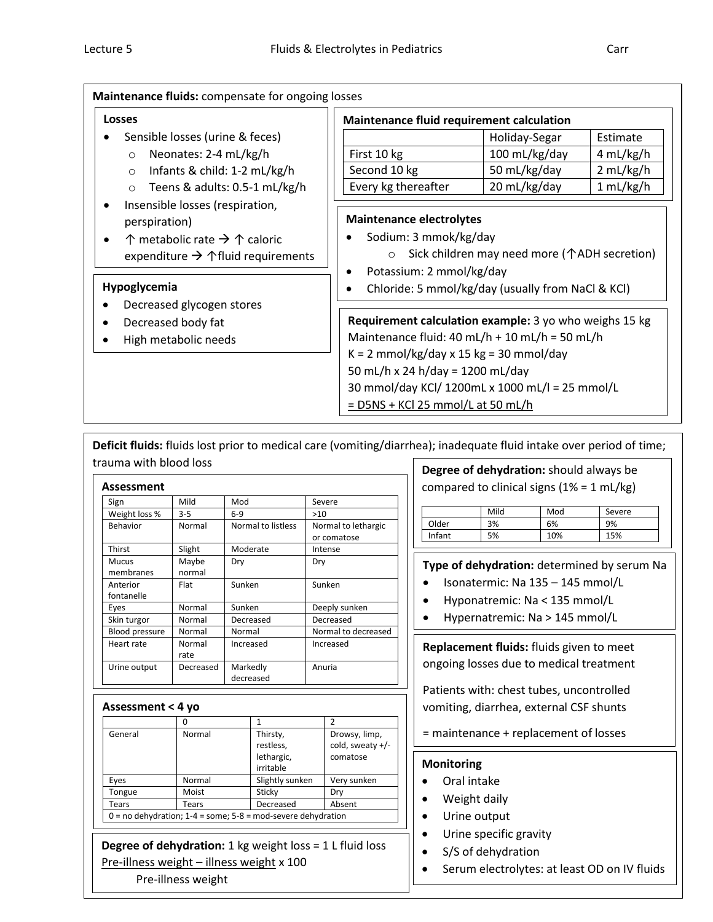| Maintenance fluids: compensate for ongoing losses                                                                                                                                                                                                                                                                                                      |                                                                                                                                                                                                                                                                                                                                                                           |                                                                                                                           |                                                 |
|--------------------------------------------------------------------------------------------------------------------------------------------------------------------------------------------------------------------------------------------------------------------------------------------------------------------------------------------------------|---------------------------------------------------------------------------------------------------------------------------------------------------------------------------------------------------------------------------------------------------------------------------------------------------------------------------------------------------------------------------|---------------------------------------------------------------------------------------------------------------------------|-------------------------------------------------|
| <b>Losses</b>                                                                                                                                                                                                                                                                                                                                          | Maintenance fluid requirement calculation                                                                                                                                                                                                                                                                                                                                 |                                                                                                                           |                                                 |
| Sensible losses (urine & feces)<br>Neonates: 2-4 mL/kg/h<br>$\circ$<br>Infants & child: 1-2 mL/kg/h<br>$\circ$<br>Teens & adults: 0.5-1 mL/kg/h<br>$\circ$<br>Insensible losses (respiration,<br>$\bullet$<br>perspiration)<br>↑ metabolic rate $\rightarrow \uparrow$ caloric<br>$\bullet$<br>expenditure $\rightarrow$ $\uparrow$ fluid requirements | First 10 kg<br>Second 10 kg<br>Every kg thereafter<br><b>Maintenance electrolytes</b><br>Sodium: 3 mmok/kg/day                                                                                                                                                                                                                                                            | Holiday-Segar<br>100 mL/kg/day<br>50 mL/kg/day<br>20 mL/kg/day<br>Sick children may need more ( $\uparrow$ ADH secretion) | Estimate<br>4 mL/kg/h<br>2 mL/kg/h<br>1 mL/kg/h |
| Hypoglycemia<br>Decreased glycogen stores<br>Decreased body fat<br>$\bullet$<br>High metabolic needs                                                                                                                                                                                                                                                   | Potassium: 2 mmol/kg/day<br>٠<br>Chloride: 5 mmol/kg/day (usually from NaCl & KCl)<br>Requirement calculation example: 3 yo who weighs 15 kg<br>Maintenance fluid: 40 mL/h + 10 mL/h = 50 mL/h<br>$K = 2$ mmol/kg/day x 15 kg = 30 mmol/day<br>50 mL/h x 24 h/day = 1200 mL/day<br>30 mmol/day KCl/ 1200mL x 1000 mL/l = 25 mmol/L<br>$=$ D5NS + KCl 25 mmol/L at 50 mL/h |                                                                                                                           |                                                 |

**Deficit fluids:** fluids lost prior to medical care (vomiting/diarrhea); inadequate fluid intake over period of time; trauma with blood loss

| Assessment                |                 |                       |                                    |
|---------------------------|-----------------|-----------------------|------------------------------------|
| Sign                      | Mild            | Mod                   | Severe                             |
| Weight loss %             | $3 - 5$         | $6 - 9$               | >10                                |
| Behavior                  | Normal          | Normal to listless    | Normal to lethargic<br>or comatose |
| Thirst                    | Slight          | Moderate              | Intense                            |
| <b>Mucus</b><br>membranes | Maybe<br>normal | Dry                   | Dry                                |
| Anterior<br>fontanelle    | Flat            | Sunken                | Sunken                             |
| Eyes                      | Normal          | Sunken                | Deeply sunken                      |
| Skin turgor               | Normal          | Decreased             | Decreased                          |
| Blood pressure            | Normal          | Normal                | Normal to decreased                |
| Heart rate                | Normal<br>rate  | Increased             | Increased                          |
| Urine output              | Decreased       | Markedly<br>decreased | Anuria                             |

## **Assessment < 4 yo**

| General                                                        | Normal | Thirsty,        | Drowsy, limp,    |
|----------------------------------------------------------------|--------|-----------------|------------------|
|                                                                |        | restless,       | cold, sweaty +/- |
|                                                                |        | lethargic,      | comatose         |
|                                                                |        | irritable       |                  |
| Eyes                                                           | Normal | Slightly sunken | Very sunken      |
| Tongue                                                         | Moist  | Sticky          | Dry              |
| Tears                                                          | Tears  | Decreased       | Absent           |
| $0 =$ no dehydration; 1-4 = some; 5-8 = mod-severe dehydration |        |                 |                  |

# **Degree of dehydration:** 1 kg weight loss = 1 L fluid loss

Pre-illness weight – illness weight x 100

Pre-illness weight

## **Degree of dehydration:** should always be compared to clinical signs  $(1% = 1 mL/kg)$

|        | Mild | Mod | Severe |
|--------|------|-----|--------|
| Older  | 3%   | 6%  | 9%     |
| Infant | 5%   | 10% | 15%    |

## **Type of dehydration:** determined by serum Na

- $\bullet$  Isonatermic: Na 135 145 mmol/L
- Hyponatremic: Na < 135 mmol/L
- Hypernatremic: Na > 145 mmol/L

**Replacement fluids:** fluids given to meet ongoing losses due to medical treatment

Patients with: chest tubes, uncontrolled vomiting, diarrhea, external CSF shunts

= maintenance + replacement of losses

## **Monitoring**

- Oral intake
- Weight daily
- Urine output
- Urine specific gravity
- S/S of dehydration
- Serum electrolytes: at least OD on IV fluids